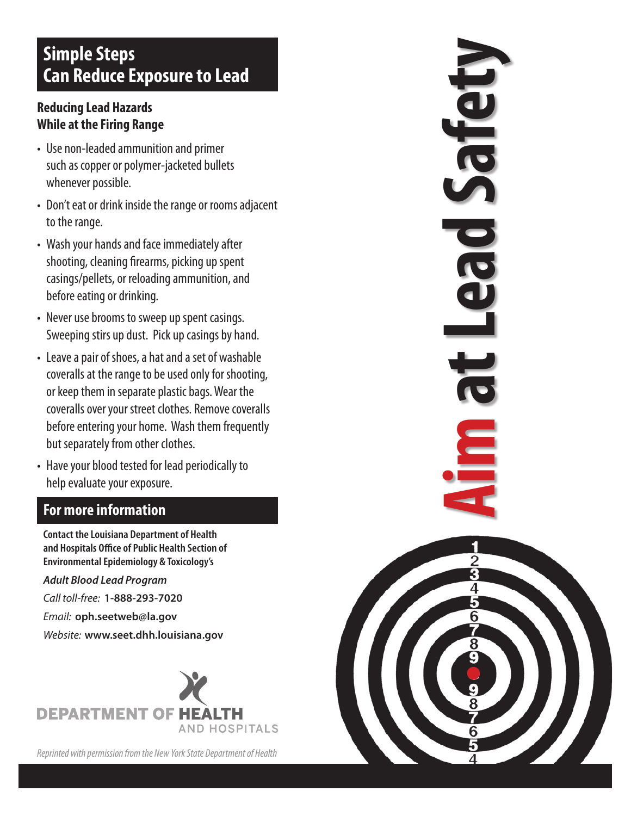# **Simple Steps Can Reduce Exposure to Lead**

### **Reducing Lead Hazards While at the Firing Range**

- Use non-leaded ammunition and primer such as copper or polymer-jacketed bullets whenever possible.
- Don't eat or drink inside the range or rooms adjacent to the range.
- Wash your hands and face immediately after shooting, cleaning firearms, picking up spent casings/pellets, or reloading ammunition, and before eating or drinking.
- Never use brooms to sweep up spent casings. Sweeping stirs up dust. Pick up casings by hand.
- Leave a pair of shoes, a hat and a set of washable coveralls at the range to be used only for shooting, or keep them in separate plastic bags. Wear the coveralls over your street clothes. Remove coveralls before entering your home. Wash them frequently but separately from other clothes.
- Have your blood tested for lead periodically to help evaluate your exposure.

### **For more information**

**Contact the Louisiana Department of Health and Hospitals Office of Public Health Section of Environmental Epidemiology & Toxicology's** 

*Adult Blood Lead Program*

*Call toll-free:* **1-888-293-7020**

*Email:* **oph.seetweb@la.gov**

*Website:* **www.seet.dhh.louisiana.gov**



*Reprinted with permission from the New York State Department of Health*